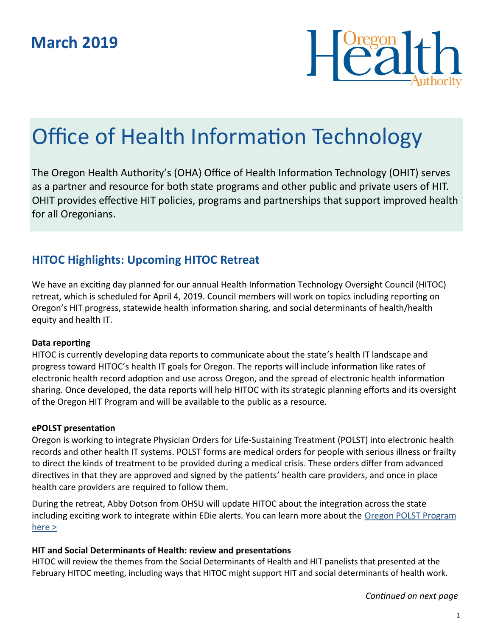

# Office of Health Information Technology

The Oregon Health Authority's (OHA) Office of Health Information Technology (OHIT) serves as a partner and resource for both state programs and other public and private users of HIT. OHIT provides effective HIT policies, programs and partnerships that support improved health for all Oregonians.

## **HITOC Highlights: Upcoming HITOC Retreat**

We have an exciting day planned for our annual Health Information Technology Oversight Council (HITOC) retreat, which is scheduled for April 4, 2019. Council members will work on topics including reporting on Oregon's HIT progress, statewide health information sharing, and social determinants of health/health equity and health IT.

#### **Data reporting**

HITOC is currently developing data reports to communicate about the state's health IT landscape and progress toward HITOC's health IT goals for Oregon. The reports will include information like rates of electronic health record adoption and use across Oregon, and the spread of electronic health information sharing. Once developed, the data reports will help HITOC with its strategic planning efforts and its oversight of the Oregon HIT Program and will be available to the public as a resource.

#### **ePOLST presentation**

Oregon is working to integrate Physician Orders for Life-Sustaining Treatment (POLST) into electronic health records and other health IT systems. POLST forms are medical orders for people with serious illness or frailty to direct the kinds of treatment to be provided during a medical crisis. These orders differ from advanced directives in that they are approved and signed by the patients' health care providers, and once in place health care providers are required to follow them.

During the retreat, Abby Dotson from OHSU will update HITOC about the integration across the state including exciting work to integrate within EDie alerts. You can learn more about the Oregon POLST Program [here >](https://oregonpolst.org/)

#### **HIT and Social Determinants of Health: review and presentations**

HITOC will review the themes from the Social Determinants of Health and HIT panelists that presented at the February HITOC meeting, including ways that HITOC might support HIT and social determinants of health work.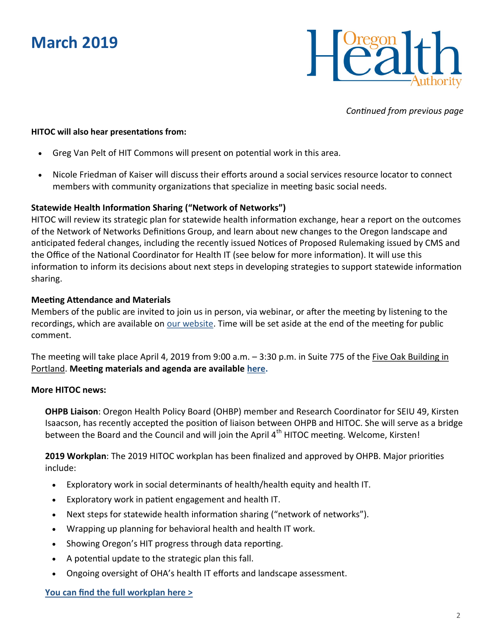## **March 2019**



*Continued from previous page*

#### **HITOC will also hear presentations from:**

- Greg Van Pelt of HIT Commons will present on potential work in this area.
- Nicole Friedman of Kaiser will discuss their efforts around a social services resource locator to connect members with community organizations that specialize in meeting basic social needs.

#### **Statewide Health Information Sharing ("Network of Networks")**

HITOC will review its strategic plan for statewide health information exchange, hear a report on the outcomes of the Network of Networks Definitions Group, and learn about new changes to the Oregon landscape and anticipated federal changes, including the recently issued Notices of Proposed Rulemaking issued by CMS and the Office of the National Coordinator for Health IT (see below for more information). It will use this information to inform its decisions about next steps in developing strategies to support statewide information sharing.

#### **Meeting Attendance and Materials**

Members of the public are invited to join us in person, via webinar, or after the meeting by listening to the recordings, which are available on [our website.](https://www.oregon.gov/oha/HPA/OHIT-HITOC/Pages/Public-Meeting-Notice.aspx) Time will be set aside at the end of the meeting for public comment.

The meeting will take place April 4, 2019 from 9:00 a.m. - 3:30 p.m. in Suite 775 of the <u>Five Oak Building in</u> [Portland.](https://goo.gl/maps/rhi5LrkXnCT2) **Meeting materials and agenda are available [here.](https://www.oregon.gov/oha/HPA/OHIT-HITOC/Documents/2019_04_HITOC_Agenda_Draft.pdf)**

#### **More HITOC news:**

**OHPB Liaison**: Oregon Health Policy Board (OHBP) member and Research Coordinator for SEIU 49, Kirsten Isaacson, has recently accepted the position of liaison between OHPB and HITOC. She will serve as a bridge between the Board and the Council and will join the April  $4<sup>th</sup>$  HITOC meeting. Welcome, Kirsten!

**2019 Workplan**: The 2019 HITOC workplan has been finalized and approved by OHPB. Major priorities include:

- Exploratory work in social determinants of health/health equity and health IT.
- Exploratory work in patient engagement and health IT.
- Next steps for statewide health information sharing ("network of networks").
- Wrapping up planning for behavioral health and health IT work.
- Showing Oregon's HIT progress through data reporting.
- A potential update to the strategic plan this fall.
- Ongoing oversight of OHA's health IT efforts and landscape assessment.

#### **[You can find the full workplan here >](https://www.oregon.gov/oha/HPA/OHIT-HITOC/HITOC%20Meeting%20Docs/HITOC-2019-Work-Plan.pdf)**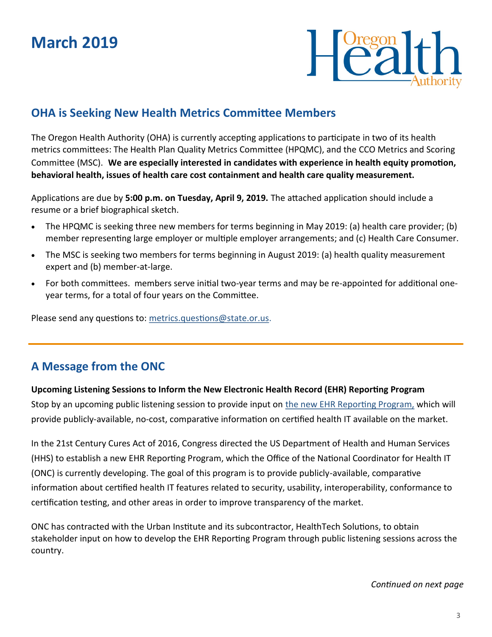

### **OHA is Seeking New Health Metrics Committee Members**

The Oregon Health Authority (OHA) is currently accepting applications to participate in two of its health metrics committees: The Health Plan Quality Metrics Committee (HPQMC), and the CCO Metrics and Scoring Committee (MSC). **We are especially interested in candidates with experience in health equity promotion, behavioral health, issues of health care cost containment and health care quality measurement.**

Applications are due by **5:00 p.m. on Tuesday, April 9, 2019.** The attached application should include a resume or a brief biographical sketch.

- The HPQMC is seeking three new members for terms beginning in May 2019: (a) health care provider; (b) member representing large employer or multiple employer arrangements; and (c) Health Care Consumer.
- The MSC is seeking two members for terms beginning in August 2019: (a) health quality measurement expert and (b) member‐at‐large.
- For both committees. members serve initial two‐year terms and may be re‐appointed for additional one‐ year terms, for a total of four years on the Committee.

Please send any questions to: [metrics.questions@state.or.us.](mailto:metrics.questions@state.or.us)

## **A Message from the ONC**

#### **Upcoming Listening Sessions to Inform the New Electronic Health Record (EHR) Reporting Program**

Stop by an upcoming public listening session to provide input on [the new EHR Reporting Program,](https://urldefense.proofpoint.com/v2/url?u=https-3A__www.healthit.gov_topic_certification-2Dhealth-2Dit_ehr-2Dreporting-2Dprogram&d=DwMFAg&c=7gilq_oJKU2hnacFUWFTuYqjMQ111TRstgx6WoATdXo&r=rmN0-qr5Eln-g1gUaHyVYuRu49HisUkVsryj3p8wWms&m=yFrXIu7FdO17XKokVX2RPw_S1-) which will provide publicly-available, no-cost, comparative information on certified health IT available on the market.

In the 21st Century Cures Act of 2016, Congress directed the US Department of Health and Human Services (HHS) to establish a new EHR Reporting Program, which the Office of the National Coordinator for Health IT (ONC) is currently developing. The goal of this program is to provide publicly-available, comparative information about certified health IT features related to security, usability, interoperability, conformance to certification testing, and other areas in order to improve transparency of the market.

ONC has contracted with the Urban Institute and its subcontractor, HealthTech Solutions, to obtain stakeholder input on how to develop the EHR Reporting Program through public listening sessions across the country.

*Continued on next page*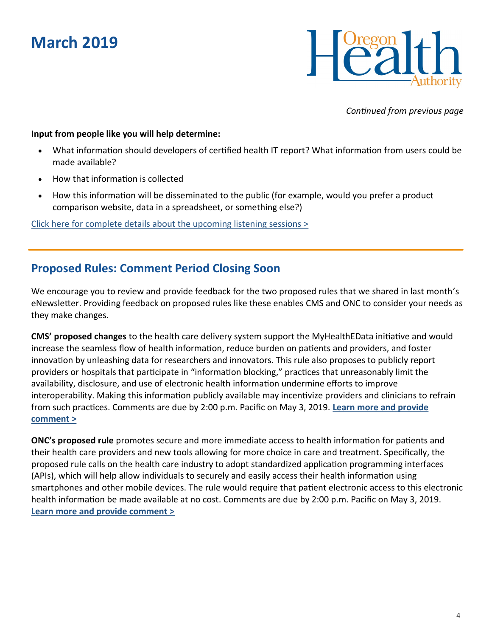## **March 2019**



*Continued from previous page*

#### **Input from people like you will help determine:**

- What information should developers of certified health IT report? What information from users could be made available?
- How that information is collected
- How this information will be disseminated to the public (for example, would you prefer a product comparison website, data in a spreadsheet, or something else?)

[Click here for complete details about the upcoming listening sessions >](https://www.oregon.gov/oha/HPA/OHIT/Documents/UpcomingListeningSessions.pdf)

### **Proposed Rules: Comment Period Closing Soon**

We encourage you to review and provide feedback for the two proposed rules that we shared in last month's eNewsletter. Providing feedback on proposed rules like these enables CMS and ONC to consider your needs as they make changes.

**CMS' proposed changes** to the health care delivery system support the MyHealthEData initiative and would increase the seamless flow of health information, reduce burden on patients and providers, and foster innovation by unleashing data for researchers and innovators. This rule also proposes to publicly report providers or hospitals that participate in "information blocking," practices that unreasonably limit the availability, disclosure, and use of electronic health information undermine efforts to improve interoperability. Making this information publicly available may incentivize providers and clinicians to refrain from such practices. Comments are due by 2:00 p.m. Pacific on May 3, 2019. **[Learn more and provide](https://www.federalregister.gov/documents/2019/03/04/2019-02200/medicare-and-medicaid-programs-patient-protection-and-affordable-care-act-interoperability-and)  [comment >](https://www.federalregister.gov/documents/2019/03/04/2019-02200/medicare-and-medicaid-programs-patient-protection-and-affordable-care-act-interoperability-and)**

**ONC's proposed rule** promotes secure and more immediate access to health information for patients and their health care providers and new tools allowing for more choice in care and treatment. Specifically, the proposed rule calls on the health care industry to adopt standardized application programming interfaces (APIs), which will help allow individuals to securely and easily access their health information using smartphones and other mobile devices. The rule would require that patient electronic access to this electronic health information be made available at no cost. Comments are due by 2:00 p.m. Pacific on May 3, 2019. **[Learn more and provide comment >](https://www.healthit.gov/topic/laws-regulation-and-policy/notice-proposed-rulemaking-improve-interoperability-health)**